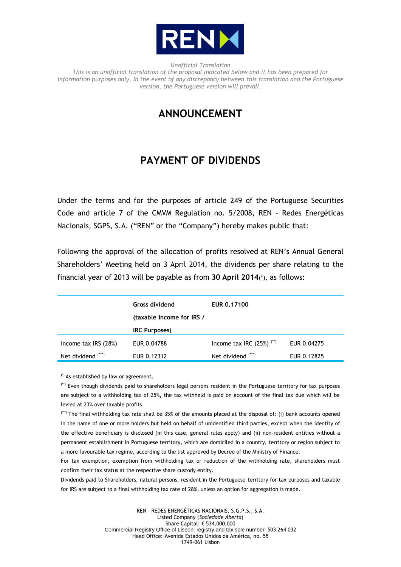

*Unofficial Translation This is an unofficial translation of the proposal indicated below and it has been prepared for information purposes only. In the event of any discrepancy between this translation and the Portuguese version, the Portuguese version will prevail.*

## **ANNOUNCEMENT**

## **PAYMENT OF DIVIDENDS**

Under the terms and for the purposes of article 249 of the Portuguese Securities Code and article 7 of the CMVM Regulation no. 5/2008, REN – Redes Energéticas Nacionais, SGPS, S.A. ("REN" or the "Company") hereby makes public that:

Following the approval of the allocation of profits resolved at REN's Annual General Shareholders' Meeting held on 3 April 2014, the dividends per share relating to the financial year of 2013 will be payable as from **30 April 2014**(\*), as follows:

|                               | <b>Gross dividend</b>     | EUR 0.17100                            |             |
|-------------------------------|---------------------------|----------------------------------------|-------------|
|                               | (taxable income for IRS / |                                        |             |
|                               | <b>IRC Purposes)</b>      |                                        |             |
| Income tax $IRS(28%)$         | EUR 0.04788               | Income tax IRC $(25%)$ <sup>(**)</sup> | EUR 0.04275 |
| Net dividend <sup>(***)</sup> | EUR 0.12312               | Net dividend (***)                     | EUR 0.12825 |

(\*) As established by law or agreement.

(\*\*) Even though dividends paid to shareholders legal persons resident in the Portuguese territory for tax purposes are subject to a withholding tax of 25%, the tax withheld is paid on account of the final tax due which will be levied at 23% over taxable profits.

(\*\*\*) The final withholding tax rate shall be 35% of the amounts placed at the disposal of: (i) bank accounts opened in the name of one or more holders but held on behalf of unidentified third parties, except when the identity of the effective beneficiary is disclosed (in this case, general rules apply) and (ii) non-resident entities without a permanent establishment in Portuguese territory, which are domiciled in a country, territory or region subject to a more favourable tax regime, according to the list approved by Decree of the Ministry of Finance.

For tax exemption, exemption from withholding tax or reduction of the withholding rate, shareholders must confirm their tax status at the respective share custody entity.

Dividends paid to Shareholders, natural persons, resident in the Portuguese territory for tax purposes and taxable for IRS are subject to a final withholding tax rate of 28%, unless an option for aggregation is made.